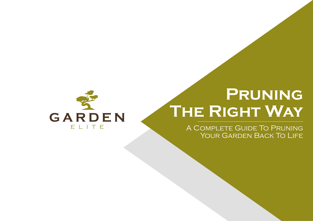

# **Pruning The Right Way**

A Complete Guide To Pruning YOUR GARDEN BACK TO LIFE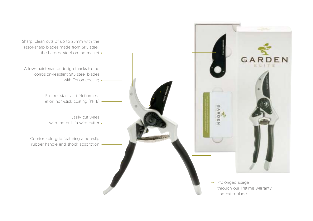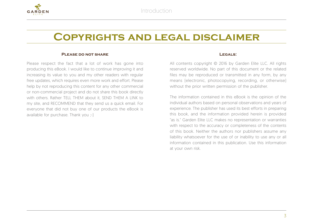

## **Copyrights and legal disclaimer**

### **Please do not share**

Please respect the fact that a lot of work has gone into producing this eBook. I would like to continue improving it and increasing its value to you and my other readers with regular free updates, which requires even more work and effort. Please help by not reproducing this content for any other commercial or non-commercial project and do not share this book directly with others. Rather TELL THEM about it. SEND THEM A LINK to my site, and RECOMMEND that they send us a quick email. For everyone that did not buy one of our products the eBook is available for purchase. Thank you ;-)

#### **Legals:**

All contents copyright © 2016 by Garden Elite LLC. All rights reserved worldwide. No part of this document or the related files may be reproduced or transmitted in any form, by any means (electronic, photocopying, recording, or otherwise) without the prior written permission of the publisher.

The information contained in this eBook is the opinion of the individual authors based on personal observations and years of experience. The publisher has used its best efforts in preparing this book, and the information provided herein is provided "as is." Garden Elite LLC makes no representation or warranties with respect to the accuracy or completeness of the contents of this book. Neither the authors nor publishers assume any liability whatsoever for the use of or inability to use any or all information contained in this publication. Use this information at your own risk.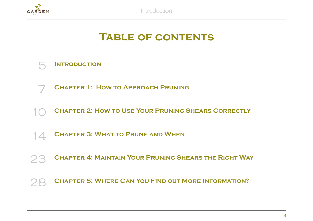

Introduction

## **Table of contents**



- **Chapter 1: How to Approach Pruning**
- **CHAPTER 2: HOW TO USE YOUR PRUNING SHEARS CORRECTLY**
- **Chapter 3: What to Prune and When**
- **Chapter 4: Maintain Your Pruning Shears the Right Way**
- **Chapter 5: Where Can You Find out More Information?**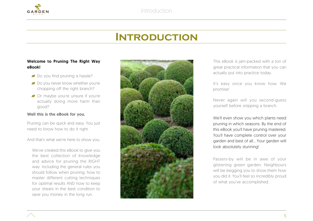

## **Introduction**

## Welcome to Pruning The Right Way eBook!

- Do you find pruning a hassle?
- Do you never know whether you're chopping off the right branch?
- Or maybe you're unsure if you're actually doing more harm than good?

## Well this is the eBook for you.

Pruning can be quick and easy. You just need to know how to do it right.

And that's what we're here to show you.

We've created this eBook to give you the best collection of knowledge and advice for pruning the RIGHT way. Including the general rules you should follow when pruning, how to master different cutting techniques for optimal results AND how to keep your shears in the best condition to save you money in the long run.



This eBook is jam-packed with a ton of great practical information that you can actually put into practice today.

It's easy once you know how. We promise!

Never again will you second-guess yourself before snipping a branch.

We'll even show you which plants need pruning in which seasons. By the end of this eBook you'll have pruning mastered. You'll have complete control over your garden and best of all… Your garden will look absolutely stunning!

Passers-by will be in awe of your glistening green garden. Neighbours will be begging you to show them how you did it. You'll feel so incredibly proud of what you've accomplished.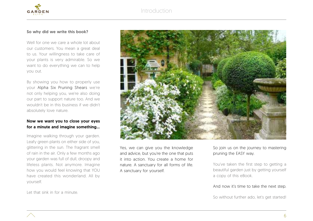Introduction



## So why did we write this book?

Well for one we care a whole lot about our customers. You mean a great deal to us. Your willingness to take care of your plants is very admirable. So we want to do everything we can to help you out.

By showing you how to properly use your Alpha Six Pruning Shears we're not only helping you, we're also doing our part to support nature too. And we wouldn't be in this business if we didn't absolutely love nature.

## Now we want you to close your eyes for a minute and imagine something…

Imagine walking through your garden. Leafy green plants on either side of you, glittering in the sun. The fragrant smell of rain in the air. Only a few months ago your garden was full of dull, droopy and lifeless plants. Not anymore. Imagine how you would feel knowing that YOU have created this wonderland. All by yourself.



Yes, we can give you the knowledge and advice, but you're the one that puts it into action. You create a home for nature. A sanctuary for all forms of life. A sanctuary for yourself.

So join us on the journey to mastering pruning the EASY way.

You've taken the first step to getting a beautiful garden just by getting yourself a copy of this eBook.

## And now it's time to take the next step.

So without further ado, let's get started!

Let that sink in for a minute.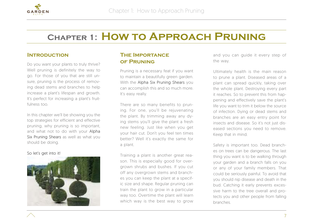

## **Chapter 1: How to Approach Pruning**

## **Introduction**

Do you want your plants to truly thrive? Well pruning is definitely the way to go. For those of you that are still unsure, pruning is the process of removing dead stems and branches to help increase a plant's lifespan and growth. It's perfect for increasing a plant's fruitfulness too.

In this chapter we'll be showing you the top strategies for efficient and effective pruning, why pruning is so important, and what not to do with your Alpha Six Pruning Shears as well as what you should be doing.

## So let's get into it!



## **The Importance of Pruning**

Pruning is a necessary feat if you want to maintain a beautifully green garden. With the Alpha Six Pruning Shears you can accomplish this and so much more. It's easy really.

There are so many benefits to pruning. For one, you'll be rejuvenating the plant. By trimming away any dying stems you'll give the plant a fresh new feeling. Just like when you get your hair cut. Don't you feel ten times better? Well it's exactly the same for a plant.

Training a plant is another great reason. This is especially good for overgrown shrubs and bushes. If you cut off any overgrown stems and branches you can keep the plant at a specific size and shape. Regular pruning can train the plant to grow in a particular way too. Overtime the plant will learn which way is the best way to grow

and you can guide it every step of the way.

Ultimately health is the main reason to prune a plant. Diseased areas of a plant can spread quickly, taking over the whole plant. Destroying every part it reaches. So to prevent this from happening and effectively save the plant's life you want to trim it below the source of infection. Dying or dead stems and branches are an easy entry point for insects and disease. So it's not just diseased sections you need to remove. Keep that in mind.

Safety is important too. Dead branches on trees can be dangerous. The last thing you want is to be walking through your garden and a branch falls on you or any of your family members. That could be seriously painful. To avoid that you should nip disease and death in the bud. Catching it early prevents excessive harm to the tree overall and protects you and other people from falling branches.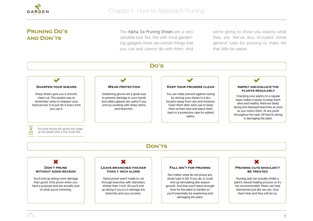

## **Pruning Do's and Don'ts**

The Alpha Six Pruning Shears are a very versatile tool. But, like with most gardening gadgets there are certain things that you can and cannot do with them. And

we're going to show you exactly what they are. We've also included some general rules for pruning to make life that little bit easier.

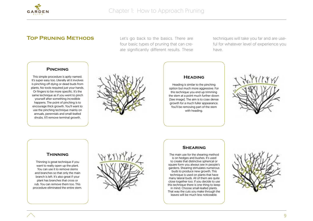

## **TOP PRUNING METHODS** Let's go back to the basics. There are

four basic types of pruning that can create significantly different results. These techniques will take you far and are useful for whatever level of experience you have.

## **Pinching**

This simple procedure is aptly named. It's super easy too. Literally all it involves is pinching off dying or dead buds from plants. No tools required just your hands. Or fingers to be more specific. It's the same technique as if you went to pinch yourself after something incredible happens. The point of pinching is to encourage thick growth. You'll want to use the pinching technique mainly on annuals, perennials and small-leafed shrubs. It'll remove terminal growth.



## **Heading**

Heading is similar to the pinching option but much more aggressive. For this technique you end up trimming the stem at a point much further down (See image). The aim is to coax dense growth for a much fuller appearance. You'll be removing part of the stem with heading.



## **Thinning**

Thinning is great technique if you want to really open up the plant. You can use it to remove stems and branches so that only the main branch is left. It's also great if your plant has branches that cross or rub. You can remove them too. This procedure eliminated the entire stem.



#### **Shearing**

The main use for the shearing method is on hedges and bushes. It's used to create that distinctive spherical or square form you always see in people's gardens. Shearing stimulates numerous buds to produce new growth. This technique is used on plants that have many lateral buds. All of them are quite close together too. If you decide to use this technique there is one thing to keep in mind. Choose small-leafed plants. That way the cuts you make through the leaves will be much less noticeable.

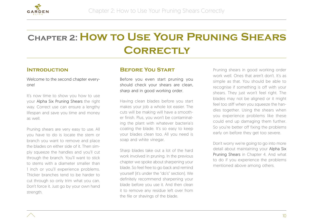

## **Chapter 2: How to Use Your Pruning Shears Correctly**

## **Introduction**

Welcome to the second chapter everyone!

It's now time to show you how to use your Alpha Six Pruning Shears the right way. Correct use can ensure a lengthy lifespan and save you time and money as well.

Pruning shears are very easy to use. All you have to do is locate the stem or branch you want to remove and place the blades on either side of it. Then simply squeeze the handles and you'll cut through the branch. You'll want to stick to stems with a diameter smaller than 1 inch or you'll experience problems. Thicker branches tend to be harder to cut through so only trim what you can. Don't force it. Just go by your own hand strength.

## **Before You Start**

Before you even start pruning you should check your shears are clean sharp and in good working order.

Having clean blades before you start makes your job a whole lot easier. The cuts will be making will have a smoother finish. Plus, you won't be contaminating the plant with whatever bacteria's coating the blade. It's so easy to keep your blades clean too. All you need is soap and white vinegar.

Sharp blades take out a lot of the hard work involved in pruning. In the previous chapter we spoke about sharpening your blade. So feel free to go back and remind yourself (it's under the "do's" section). We definitely recommend sharpening your blade before you use it. And then clean it to remove any residue left over from the file or shavings of the blade.

Pruning shears in good working order work well. Ones that aren't don't. It's as simple as that. You should be able to recognise if something is off with your shears. They just won't feel right. The blades may not be aligned or it might feel too stiff when you squeeze the handles together. Using the shears when you experience problems like these could end up damaging them further. So you're better off fixing the problems early on before they get too severe.

Don't worry we're going to go into more detail about maintaining your Alpha Six Pruning Shears in Chapter 4. And what to do if you experience the problems mentioned above among others.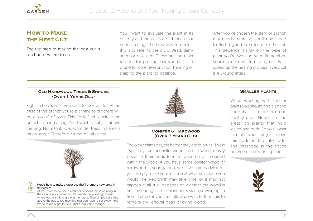

## **How to Make the Best Cut**

The first step to making the best cut is to choose where to cut.

You'll want to evaluate the plant in its entirety and then choose a branch that needs cutting. The best way to decide this is to refer to the 3 D's. Dead, damaged or diseased. These are the main reasons for pruning, but you can also prune for other reasons too. Thinning or shaping the plant for instance.

After you've chosen the stem or branch that needs trimming you'll now need to find a good area to make the cut. This depends mainly on the type of plant you're working with. Remember, your main aim when making cuts is to speed up the healing process. Every cut is a wound afterall.

## **Old Hardwood Trees & Shrubs (Over 1 Years Old)**

Right so here's what you want to look out for. At the base of the branch you're planning to cut there will be a "collar" of sorts. This "collar" will encircle the branch forming a ring. You'll want to cut just above this ring. Not into it. Ever. On older trees this area is much larger. Therefore it's more visible too.



#### Here's how to make a great cut, that'll promote new growth effectively.

All you have to do is find a bud or offshoot that is pointing in the direction you want. So, it'll need to be pointing towards where you want it to grow in the future. Then simply cut a little above the node. You may find that you have to cut away more wood to really get this cut. That's totally fine though. **TIP**



## **Conifer & Hardwood (Over 3 Years Old)**

The older plants get, the harder they are to prune. This is especially true for conifer wood and hardwood, mostly because their buds tend to become enshrouded within the wood. If you have some conifer wood or hardwood in your garden, we have some advice for you. Simply make your incision at whatever place you would like. Regrowth may take time, or it may not happen at all. It all depends on whether the wood is healthy enough. If the plant does start growing again from that point you can follow up with further cuts to remove any leftover dead or dying wood.

### **Smaller Plants**

When working with smaller plants you should find a strong node that has more than one healthy buds. Nodes are the areas on plants that hold leaves and buds. So you'll want to make your cut just above this node in the internode. The internode is the space between nodes on a plant.



**TOP**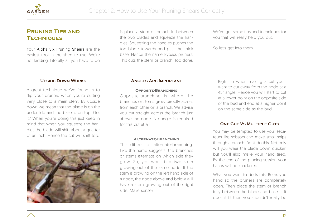

## **Pruning Tips and Techniques**

Your Alpha Six Pruning Shears are the easiest tool in the shed to use. We're not kidding. Literally all you have to do is place a stem or branch in between the two blades and squeeze the handles. Squeezing the handles pushes the top blade towards and past the thick base. Hence the name Bypass pruners. This cuts the stem or branch. Job done.

We've got some tips and techniques for you that will really help you out.

So let's get into them.

### **Upside Down Works**

A great technique we've found, is to flip your pruners when you're cutting very close to a main stem. By upside down we mean that the blade is on the underside and the base is on top. Got it? When you're doing this just keep in mind that when you squeeze the handles the blade will shift about a quarter of an inch. Hence the cut will shift too.



#### **Angles Are Important**

#### **Opposite-Branching**

Opposite-branching is where the branches or stems grow directly across from each other on a branch. We advise you cut straight across the branch just above the node. No angle is required for this cut at all.

#### **Alternate-Branching**

This differs for alternate-branching. Like the name suggests, the branches or stems alternate on which side they grow. So, you won't find two stem growing out of the same node. If the stem is growing on the left hand side of a node, the node above and below will have a stem growing out of the right side. Make sense?

Right so when making a cut you'll want to cut away from the node at a 45° angle. Hence you will start to cut at a lower point on the opposite side of the bud and end at a higher point on the same side as the bud.

#### **ONE CUT VS MULTIPLE CUTS**

You may be tempted to use your secateurs like scissors and make small snips through a branch. Don't do this. Not only will you wear the blade down quicker, but you'll also make your hand tired. By the end of the pruning session your hands will be knackered.

What you want to do is this: Relax you hand so the pruners are completely open. Then place the stem or branch fully between the blade and base. If it doesn't fit then you shouldn't really be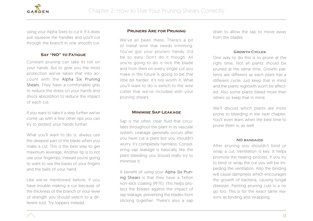

using your Alpha Sixes to cut it. If it does just squeeze the handles and you'll cut through the branch in one smooth cut.

## **Say "NO" to Fatigue**

Constant pruning can take its toll on your hands. But to give you the most protection we've taken that into account with the Alpha Six Pruning Shears. They have a comfortable grip to reduce the stress on your hands and shock absorption to reduce the impact of each cut.

If you want to take it a step further we've come up with a few other tips you can try to protect your hands further.

What you'll want to do is, always use the deepest part of the blade when you make a cut. This is the best way to get maximum leverage. Another tip is to not use your fingertips. Instead you're going to want to use the bases of your fingers and the balls of your hand.

Like we've mentioned before, if you have trouble making a cut because of the thickness of the branch or your level of strength you should switch to a different tool. Try loppers instead.

#### **Pruners Are for Pruning**

We've all been there. There's a bit of metal wire that needs trimming. You've got your pruners handy. It'd be so easy. Don't do it though. All you're going to do is nick the blade and from then on every single cut you make in the future is going to be that little bit harder. It's not worth it. What you'll want to do is switch to the wire cutter that we've included with your pruning shears.

#### **Minimise Sap Leakage**

Sap is the often clear fluid that circulates throughout the plant in its vascular system. Leakage generally occurs after you have cut a plant but you shouldn't worry. It's completely harmless. Considering sap leakage is basically like the plant bleeding you should really try to minimise it.

A benefit of using your Alpha Six Pruning Shears is that they have a Teflon non-stick coating (PFTE). This helps protect the blades against the impact of sap leakage, preventing the blades from sticking together. There's also a sap drain to allow the sap to move away from the blades.

#### **Growth Cycles**

One way to do this is to prune at the right time. Not all plants should be pruned at the same time. Growth patterns are different as each plant has a different cycle. Just keep that in mind and the plants regrowth won't be affected. Also some plants bleed more than others so keep that in mind.

We'll discuss which plants are more prone to bleeding in the next chapter. You'll even learn when the best time to prune them is, as well.

#### **NO bandaids**

After pruning you shouldn't bind or wrap a cut. Ventilation is key. It helps promote the healing process. If you try to bind or wrap the cut you will be impeding the ventilation. Also the binding will cause dampness which encourages the growth of bacteria, causing fungal diseases. Painting pruning cuts is a no go too. This is for the exact same reasons as binding and wrapping.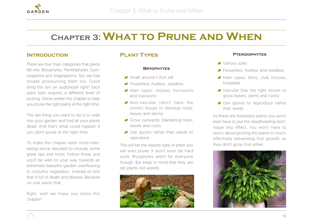

## **Chapter 3: What to Prune and When**

## **Introduction**

There are four main categories that plants fall into. Bryophytes, Pteridophytes, Gymnosperms and Angiosperms. Yes, we had trouble pronouncing them too. Good thing this isn't an audiobook right? Each plant type requires a different level of pruning. We've written this chapter to help you prune the right plants at the right time.

The last thing you want to do is to walk into your garden and find all your plants dead. And that's what could happen if you don't prune at the right time.

To make this chapter even more interesting we've decided to include some great tips and tricks. Follow these and you'll be well on your way towards an extremely beautiful garden overflowing in colourful vegetation. Instead of one that is full of death and disease. Because no one wants that.

Right, well we hope you enjoy this chapter!

## **Plant Types**

### **Bryophytes**

- Small: around 1-2cm tall
- **Flowerless, fruitless, seedless**
- Main types: mosses, hornworts and liverworts
- Non-vascular (don't have the correct tissues to develop roots, leaves and stems)
- Grow outwards; blanketing trees, leaves and rocks
- Use spores rather than seeds to reproduce

This will be the easiest type of plant you will ever prune. It won't even be hard work. Bryophytes aren't for everyone though. But keep in mind that they are still plants not weeds.



## **Pteridophytes**

- Various sizes
- **Flowerless**, fruitless and seedless
- Main types: ferns, club mosses, horsetails
- Vascular (has the right tissues to grow leaves, stems and roots)
- Use spores to reproduce rather than seeds

As these are flowerless plants you won't ever have to put the deadheading technique into effect. You won't have to worry about pruning the plants to much, effectively preventing fruit growth, as they don't grow fruit either.



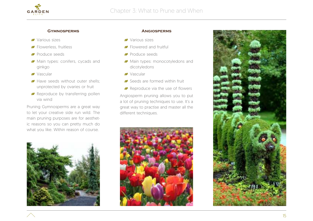

## **Gymnosperms**

- Various sizes
- **Flowerless**, fruitless
- **Produce seeds**
- Main types: conifers, cycads and ginkgo
- Vascular
- Have seeds without outer shells: unprotected by ovaries or fruit
- **P** Reproduce by transferring pollen via wind

Pruning Gymnosperms are a great way to let your creative side run wild. The main pruning purposes are for aesthetic reasons so you can pretty much do what you like. Within reason of course.



- Various sizes
- Flowered and fruitful
- **Produce seeds**
- Main types: monocotyledons and dicotyledons
- Vascular
- Seeds are formed within fruit
- Reproduce via the use of flowers

Angiosperm pruning allows you to put a lot of pruning techniques to use. It's a great way to practise and master all the different techniques.





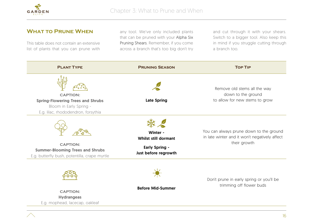

## **What to Prune When**

This table does not contain an extensive list of plants that you can prune with

any tool. We've only included plants that can be pruned with your Alpha Six Pruning Shears. Remember, if you come across a branch that's too big don't try and cut through it with your shears. Switch to a bigger tool. Also keep this in mind if you struggle cutting through a branch too.

| <b>PLANT TYPE</b>                                                                                                             | <b>PRUNING SEASON</b>                                                                    | <b>TOP TIP</b>                                                                                           |
|-------------------------------------------------------------------------------------------------------------------------------|------------------------------------------------------------------------------------------|----------------------------------------------------------------------------------------------------------|
| <b>CAPTION:</b><br><b>Spring-Flowering Trees and Shrubs</b><br>Bloom in Early Spring -<br>E.g. lilac, rhododendron, forsythia | <b>Late Spring</b>                                                                       | Remove old stems all the way<br>down to the ground<br>to allow for new stems to grow                     |
| <b>CAPTION:</b><br><b>Summer-Blooming Trees and Shrubs</b><br>E.g. butterfly bush, potentilla, crape myrtle                   | Winter -<br><b>Whilst still dormant</b><br><b>Early Spring -</b><br>Just before regrowth | You can always prune down to the ground<br>in late winter and it won't negatively affect<br>their growth |
| <b>CAPTION:</b><br><b>Hydrangeas</b><br>E.g. mophead, lacecap, oakleaf                                                        | <b>Before Mid-Summer</b>                                                                 | Don't prune in early spring or you'll be<br>trimming off flower buds                                     |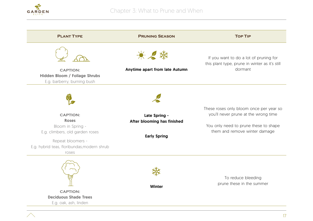

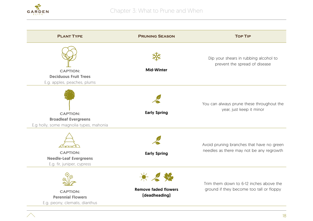

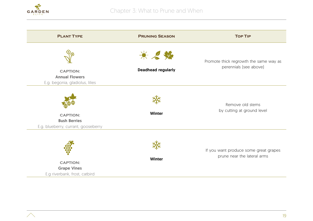

| <b>PLANT TYPE</b>                                                             | <b>PRUNING SEASON</b>            | <b>TOP TIP</b>                                                       |
|-------------------------------------------------------------------------------|----------------------------------|----------------------------------------------------------------------|
| <b>CAPTION:</b><br><b>Annual Flowers</b>                                      | 米名奖<br><b>Deadhead regularly</b> | Promote thick regrowth the same way as<br>perennials [see above]     |
| E.g. begonia, gladiolus, lilies                                               |                                  |                                                                      |
| <b>CAPTION:</b><br><b>Bush Berries</b><br>E.g. blueberry, currant, gooseberry | <b>Winter</b>                    | Remove old stems<br>by cutting at ground level                       |
| <b>CAPTION:</b><br><b>Grape Vines</b><br>E.g riverbank, frost, catbird        | <b>Winter</b>                    | If you want produce some great grapes<br>prune near the lateral arms |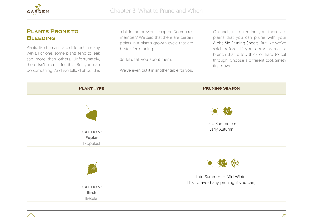

## **Plants Prone to BLEEDING**

Plants, like humans, are different in many ways. For one, some plants tend to leak sap more than others. Unfortunately, there isn't a cure for this. But you can do something. And we talked about this

a bit in the previous chapter. Do you remember? We said that there are certain points in a plant's growth cycle that are better for pruning.

So let's tell you about them.

We've even put it in another table for you.

Oh and just to remind you, these are plants that you can prune with your Alpha Six Pruning Shears. But like we've said before, if you come across a branch that is too thick or hard to cut through. Choose a different tool. Safety first guys.

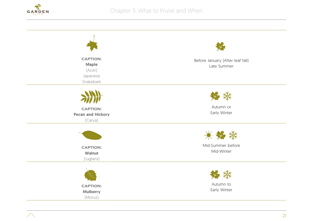

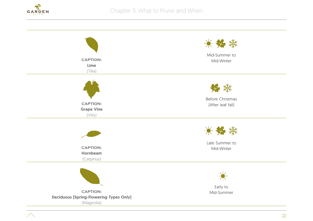

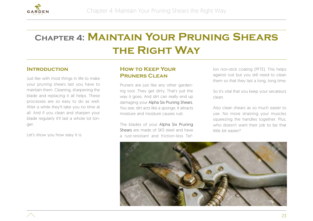

## **Chapter 4: Maintain Your Pruning Shears the Right Way**

## **Introduction**

Just like with most things in life to make your pruning shears last you have to maintain them. Cleaning, sharpening the blade and replacing it all helps. These processes are so easy to do as well. After a while they'll take you no time at all. And if you clean and sharpen your blade regularly it'll last a whole lot longer.

Let's show you how easy it is.

## **How to Keep Your Pruners Clean**

Pruners are just like any other gardening tool. They get dirty. That's just the way it goes. And dirt can really end up damaging your Alpha Six Pruning Shears. You see, dirt acts like a sponge. It attracts moisture and moisture causes rust.

The blades of your Alpha Six Pruning Shears are made of SK5 steel and have a rust-resistant and friction-less Teflon non-stick coating (PFTE). This helps against rust but you still need to clean them so that they last a long, long time.

So it's vital that you keep your secateurs clean.

Also clean shears as so much easier to use. No more straining your muscles squeezing the handles together. Plus, who doesn't want their job to be that little bit easier?

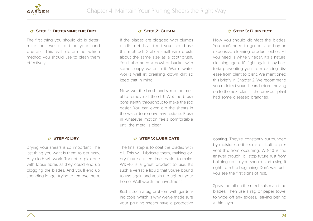

## $\triangle$  **STEP 1: DETERMINE THE DIRT**

The first thing you should do is determine the level of dirt on your hand pruners. This will determine which method you should use to clean them effectively.

## ¶ **Step 2: Clean**

If the blades are clogged with clumps of dirt, debris and rust you should use this method: Grab a small wire brush, about the same size as a toothbrush. You'll also need a bowl or bucket with some soapy water in it. Warm water works well at breaking down dirt so keep that in mind.

Now, wet the brush and scrub the metal to remove all the dirt. Wet the brush consistently throughout to make the job easier. You can even dip the shears in the water to remove any residue. Brush in whatever motion feels comfortable until the metal is clean.

#### $\triangle$  **STEP 3: DISINFECT**

Now you should disinfect the blades. You don't need to go out and buy an expensive cleaning product either. All you need is white vinegar. It's a natural cleaning agent. It'll fight against any bacteria preventing you from passing disease from plant to plant. We mentioned this briefly in Chapter 2. We recommend you disinfect your shears before moving on to the next plant, if the previous plant had some diseased branches.

## ¶ **Step 4: Dry**

Drying your shears is so important. The last thing you want is them to get rusty. Any cloth will work. Try not to pick one with loose fibres as they could end up clogging the blades. And you'll end up spending longer trying to remove them.

### ¶ **Step 5: Lubricate**

The final step is to coat the blades with oil. This will lubricate them, making every future cut ten times easier to make. WD-40 is a great product to use. It's such a versatile liquid that you're bound to use again and again throughout your home. Well worth the investment.

Rust is such a big problem with gardening tools, which is why we've made sure your pruning shears have a protective

coating. They're constantly surrounded by moisture so it seems difficult to prevent this from occurring. WD-40 is the answer though. It'll stop future rust from building up so you should start using it right from the beginning. Don't wait until you see the first signs of rust.

Spray the oil on the mechanism and the blades. Then use a rag or paper towel to wipe off any excess, leaving behind a thin layer.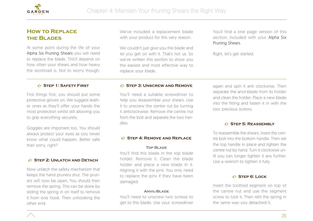

## **How to Replace the Blades**

At some point during the life of your Alpha Six Pruning Shears you will need to replace the blade. This'll depend on how often your shears and how heavy the workload is. Not to worry though.

We've included a replacement blade with your product for this very reason.

We couldn't just give you the blade and let you get on with it. That's not us. So we've written this section to show you the easiest and most effective way to replace your blade.

You'll find a one page version of this section, included with your Alpha Six Pruning Shears.

Right, let's get started.

### ¶ **Step 1: Safety First**

First things first, you should put some protective gloves on. We suggest leather ones as they'll offer your hands the most protection whilst still allowing you to grip everything securely.

Goggles are important too. You should always protect your eyes as you never know what could happen. Better safe than sorry, right?

## $$$  **STEP 2: UNLATCH AND DETACH**

Now unlatch the safety mechanism that keeps the hand pruners shut. The pruners will now be open. You should then remove the spring. This can be done by sliding the spring in on itself to remove it from one hook. Then unhooking the other end.

#### $$$  **STEP 3: UNSCREW AND REMOVE**

You'll need a suitable screwdriver to help you disassemble your shears. Use it to unscrew the centre nut by turning it anticlockwise. Remove the centre nut from the bolt and separate the two handles.

#### $\triangle$  **STEP 4: REMOVE AND REPLACE**

#### **Top Blade**

You'll find this blade in the top blade holder. Remove it. Clean the blade holder and place a new blade in it. Aligning it with the pins. You only need to replace the pins if they have been damaged.

#### **Anvil-Blade**

You'll need to unscrew two screws to get to this blade. Use your screwdriver again and spin it anti clockwise. Then separate the anvil-blade from its holder and clean the holder. Place a new blade into the fitting and fasten it in with the two previous screws.

#### **C<sub>2</sub>** STEP 5: REASSEMBLY

To reassemble the shears, insert the centre bolt into the bottom handle. Then set the top handle in place and tighten the centre nut by hand. Turn it clockwise until you can longer tighten it any further. Use a wrench to tighten it fully.

## ¶ **Step 6: Lock**

Insert the toothed segment on top of the centre nut and use the segment screw to lock it. Then refit the spring in the same way you detached it.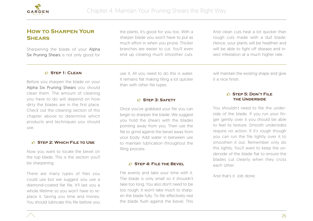

## **How to Sharpen Your Shears**

Sharpening the blade of your Alpha Six Pruning Shears is not only good for the plants, it's good for you too. With a sharper blade you won't have to put as much effort in when you prune. Thicker branches are easier to cut. You'll even end up creating much smoother cuts.

And clean cuts heal a lot quicker than rough cuts made with a dull blade. Hence, your plants will be healthier and will be able to fight off disease and insect infestation at a much higher rate.

### ¶ **Step 1: Clean**

Before you sharpen the blade on your Alpha Six Pruning Shears you should clean them. The amount of cleaning you have to do will depend on how dirty the blades are in the first place. Check out the cleaning section of this chapter above to determine which products and techniques you should use.

## ¶ **Step 2: Which File to Use**

Now you want to locate the bevel on the top blade. This is the section you'll be sharpening.

There are many types of files you could use but we suggest you use a diamond-coated flat file. It'll last you a whole lifetime so you won't have to replace it. Saving you time and money. You should lubricate this file before you

use it. All you need to do this is water. It remains flat making filing a lot quicker than with other file types.

### ¶ **Step 3: Safety**

Once you've grabbed your file you can begin to sharpen the blade. We suggest you hold the shears with the blades pointing away from you. Then use the file to grind against the bevel away from your body. Add water in between use to maintain lubrication throughout the filing process.

## $\bigcirc$  **STEP 4: FILE THE BEVEL**

File evenly and take your time with it. The blade is only small so it shouldn't take too long. You also don't need to be too rough. It won't take much to sharpen the blade fully. To file effectively rest the blade flush against the bevel. This

will maintain the existing shape and give it a nice finish.

## ¶ **Step 5: Don't File the Underside**

You shouldn't need to file the underside of the blade. If you run your finger gently over it you should be able to feel its texture. Smooth undersides require no action. If it's rough though you can run the file lightly over it to smoothen it out. Remember only do this lightly. You'll want to keep the underside of the blade flat to ensure the blades cut cleanly when they cross each other.

And that's it. Job done.

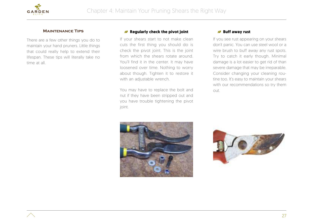

## **Maintenance Tips**

There are a few other things you do to maintain your hand pruners. Little things that could really help to extend their lifespan. These tips will literally take no time at all.

## **Regularly check the pivot joint**

If your shears start to not make clean cuts the first thing you should do is check the pivot joint. This is the joint from which the shears rotate around. You'll find it in the center. It may have loosened over time. Nothing to worry about though. Tighten it to restore it with an adjustable wrench.

You may have to replace the bolt and nut if they have been stripped out and you have trouble tightening the pivot joint.

## **Buff away rust**

If you see rust appearing on your shears don't panic. You can use steel wool or a wire brush to buff away any rust spots. Try to catch it early though. Minimal damage is a lot easier to get rid of than severe damage that may be irreparable. Consider changing your cleaning routine too. It's easy to maintain your shears with our recommendations so try them out.



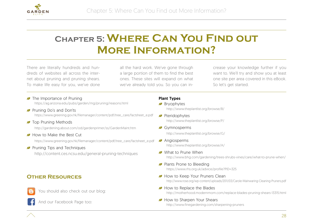

## **Chapter 5: Where Can You Find out More Information?**

There are literally hundreds and hundreds of websites all across the internet about pruning and pruning shears. To make life easy for you, we've done all the hard work. We've gone through a large portion of them to find the best ones. These sites will expand on what we've already told you. So you can increase your knowledge further if you want to. We'll try and show you at least one site per area covered in this eBook. So let's get started.

- The Importance of Pruning https://ag.arizona.edu/pubs/garden/mg/pruning/reasons.html
- **Pruning Do's and Don'ts** https://www.greening.gov.hk/filemanager/content/pdf/tree\_care/factsheet\_e.pdf
- **J** Top Pruning Methods

http://gardening.about.com/od/gardenprimer/ss/GardenMaint.htm

How to Make the Best Cut

https://www.greening.gov.hk/filemanager/content/pdf/tree\_care/factsheet\_e.pdf

**Pruning Tips and Techniques** 

http://content.ces.ncsu.edu/general-pruning-techniques

## **Other Resources**



You should also check out our blog:

And our Facebook Page too:

## Plant Types

- **Bryophytes** http://www.theplantlist.org/browse/B/
- **Pteridophytes** http://www.theplantlist.org/browse/P/
- Gymnosperms http://www.theplantlist.org/browse/G/
- **Angiosperms** http://www.theplantlist.org/browse/A/
- What to Prune When http://www.bhg.com/gardening/trees-shrubs-vines/care/what-to-prune-when/
- Plants Prone to Bleeding https://www.rhs.org.uk/advice/profile?PID=325
- How to Keep Your Pruners Clean http://www.rose.org/wp-content/uploads/2011/03/Carole-Mainwaring-Cleaning-Pruners.pdf
- How to Replace the Blades http://motherhood.modernmom.com/replace-blades-pruning-shears-13315.html
- How to Sharpen Your Shears

http://www.finegardening.com/sharpening-pruners